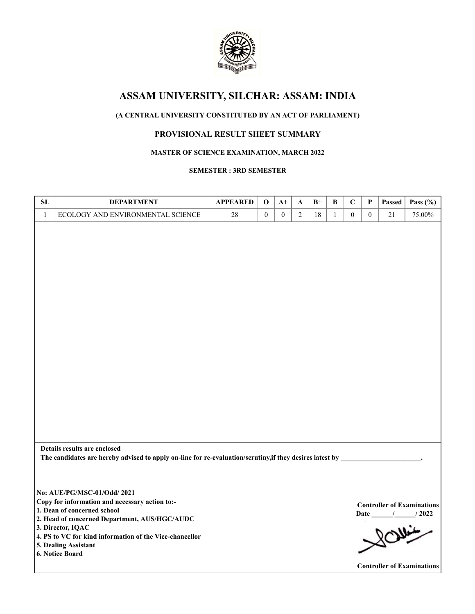

# **ASSAM UNIVERSITY, SILCHAR: ASSAM: INDIA**

## **(A CENTRAL UNIVERSITY CONSTITUTED BY AN ACT OF PARLIAMENT)**

## **PROVISIONAL RESULT SHEET SUMMARY**

## **MASTER OF SCIENCE EXAMINATION, MARCH 2022**

#### **SEMESTER : 3RD SEMESTER**

| SL           | <b>DEPARTMENT</b>                                                                                                                                                                                                                                                                        | <b>APPEARED</b> | $\mathbf 0$      | $A+$         | A              | $B+$ | $\, {\bf B}$ | $\mathbf C$      | P            | Passed | Pass $(\% )$                                                                                        |
|--------------|------------------------------------------------------------------------------------------------------------------------------------------------------------------------------------------------------------------------------------------------------------------------------------------|-----------------|------------------|--------------|----------------|------|--------------|------------------|--------------|--------|-----------------------------------------------------------------------------------------------------|
| $\mathbf{1}$ | ECOLOGY AND ENVIRONMENTAL SCIENCE                                                                                                                                                                                                                                                        | 28              | $\boldsymbol{0}$ | $\mathbf{0}$ | $\overline{2}$ | 18   | $\mathbf{1}$ | $\boldsymbol{0}$ | $\mathbf{0}$ | 21     | 75.00%                                                                                              |
|              |                                                                                                                                                                                                                                                                                          |                 |                  |              |                |      |              |                  |              |        |                                                                                                     |
|              | Details results are enclosed<br>The candidates are hereby advised to apply on-line for re-evaluation/scrutiny, if they desires latest by                                                                                                                                                 |                 |                  |              |                |      |              |                  |              |        |                                                                                                     |
|              | No: AUE/PG/MSC-01/Odd/ 2021<br>Copy for information and necessary action to:-<br>1. Dean of concerned school<br>2. Head of concerned Department, AUS/HGC/AUDC<br>3. Director, IQAC<br>4. PS to VC for kind information of the Vice-chancellor<br>5. Dealing Assistant<br>6. Notice Board |                 |                  |              |                |      |              |                  |              |        | <b>Controller of Examinations</b><br>$/$ $/$ $/$ 2022<br>Rowin<br><b>Controller of Examinations</b> |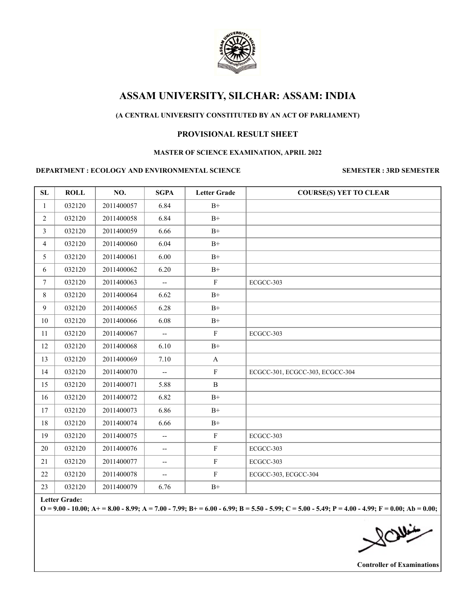

## **ASSAM UNIVERSITY, SILCHAR: ASSAM: INDIA**

## **(A CENTRAL UNIVERSITY CONSTITUTED BY AN ACT OF PARLIAMENT)**

#### **PROVISIONAL RESULT SHEET**

#### **MASTER OF SCIENCE EXAMINATION, APRIL 2022**

#### **DEPARTMENT : ECOLOGY AND ENVIRONMENTAL SCIENCE SEMESTER : 3RD SEMESTER**

| SL              | <b>ROLL</b> | NO.        | <b>SGPA</b>                       | <b>Letter Grade</b> | <b>COURSE(S) YET TO CLEAR</b>   |
|-----------------|-------------|------------|-----------------------------------|---------------------|---------------------------------|
| $\mathbf{1}$    | 032120      | 2011400057 | 6.84                              | $B+$                |                                 |
| $\overline{2}$  | 032120      | 2011400058 | 6.84                              | $B+$                |                                 |
| $\overline{3}$  | 032120      | 2011400059 | 6.66                              | $B+$                |                                 |
| $\overline{4}$  | 032120      | 2011400060 | 6.04                              | $B+$                |                                 |
| 5               | 032120      | 2011400061 | 6.00                              | $B+$                |                                 |
| 6               | 032120      | 2011400062 | 6.20                              | $B+$                |                                 |
| $7\phantom{.0}$ | 032120      | 2011400063 | $\overline{\phantom{a}}$          | $\mathbf F$         | ECGCC-303                       |
| 8               | 032120      | 2011400064 | 6.62                              | $B+$                |                                 |
| 9               | 032120      | 2011400065 | 6.28                              | $\mathrm{B}^{+}$    |                                 |
| 10              | 032120      | 2011400066 | 6.08                              | $B+$                |                                 |
| 11              | 032120      | 2011400067 |                                   | ${\bf F}$           | ECGCC-303                       |
| 12              | 032120      | 2011400068 | 6.10                              | $B+$                |                                 |
| 13              | 032120      | 2011400069 | 7.10                              | $\mathbf{A}$        |                                 |
| 14              | 032120      | 2011400070 | $\overline{\phantom{a}}$          | $\mathbf F$         | ECGCC-301, ECGCC-303, ECGCC-304 |
| 15              | 032120      | 2011400071 | 5.88                              | $\, {\bf B}$        |                                 |
| 16              | 032120      | 2011400072 | 6.82                              | $B+$                |                                 |
| 17              | 032120      | 2011400073 | 6.86                              | $B+$                |                                 |
| 18              | 032120      | 2011400074 | 6.66                              | $B+$                |                                 |
| 19              | 032120      | 2011400075 | $\overline{\phantom{a}}$          | ${\bf F}$           | ECGCC-303                       |
| 20              | 032120      | 2011400076 | $\overline{\phantom{a}}$          | $\mathbf F$         | ECGCC-303                       |
| 21              | 032120      | 2011400077 | $\hspace{0.05cm} \dashrightarrow$ | ${\bf F}$           | ECGCC-303                       |
| 22              | 032120      | 2011400078 | $\overline{\phantom{0}}$          | $\mathbf F$         | ECGCC-303, ECGCC-304            |
| 23              | 032120      | 2011400079 | 6.76                              | $\mathrm{B}^+$      |                                 |

**Letter Grade:**

**O = 9.00 - 10.00; A+ = 8.00 - 8.99; A = 7.00 - 7.99; B+ = 6.00 - 6.99; B = 5.50 - 5.99; C = 5.00 - 5.49; P = 4.00 - 4.99; F = 0.00; Ab = 0.00;**

 $\approx$ 

**Controller of Examinations**